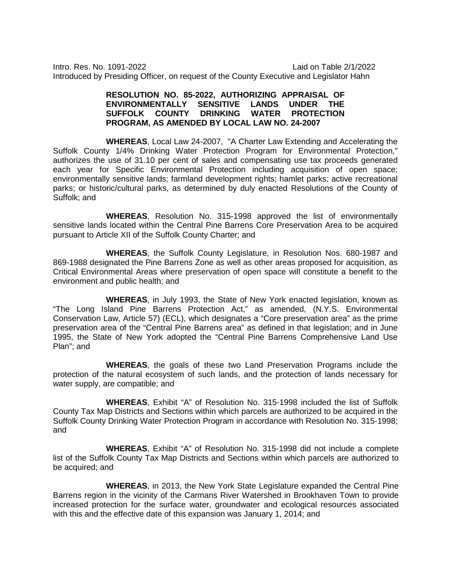Intro. Res. No. 1091-2022 Laid on Table 2/1/2022 Introduced by Presiding Officer, on request of the County Executive and Legislator Hahn

## **RESOLUTION NO. 85-2022, AUTHORIZING APPRAISAL OF ENVIRONMENTALLY SENSITIVE LANDS UNDER THE SUFFOLK COUNTY DRINKING WATER PROTECTION PROGRAM, AS AMENDED BY LOCAL LAW NO. 24-2007**

**WHEREAS**, Local Law 24-2007, "A Charter Law Extending and Accelerating the Suffolk County 1/4% Drinking Water Protection Program for Environmental Protection," authorizes the use of 31.10 per cent of sales and compensating use tax proceeds generated each year for Specific Environmental Protection including acquisition of open space; environmentally sensitive lands; farmland development rights; hamlet parks; active recreational parks; or historic/cultural parks, as determined by duly enacted Resolutions of the County of Suffolk; and

**WHEREAS**, Resolution No. 315-1998 approved the list of environmentally sensitive lands located within the Central Pine Barrens Core Preservation Area to be acquired pursuant to Article XII of the Suffolk County Charter; and

**WHEREAS**, the Suffolk County Legislature, in Resolution Nos. 680-1987 and 869-1988 designated the Pine Barrens Zone as well as other areas proposed for acquisition, as Critical Environmental Areas where preservation of open space will constitute a benefit to the environment and public health; and

**WHEREAS**, in July 1993, the State of New York enacted legislation, known as "The Long Island Pine Barrens Protection Act," as amended, (N.Y.S. Environmental Conservation Law, Article 57) (ECL), which designates a "Core preservation area" as the prime preservation area of the "Central Pine Barrens area" as defined in that legislation; and in June 1995, the State of New York adopted the "Central Pine Barrens Comprehensive Land Use Plan"; and

**WHEREAS**, the goals of these two Land Preservation Programs include the protection of the natural ecosystem of such lands, and the protection of lands necessary for water supply, are compatible; and

**WHEREAS**, Exhibit "A" of Resolution No. 315-1998 included the list of Suffolk County Tax Map Districts and Sections within which parcels are authorized to be acquired in the Suffolk County Drinking Water Protection Program in accordance with Resolution No. 315-1998; and

**WHEREAS**, Exhibit "A" of Resolution No. 315-1998 did not include a complete list of the Suffolk County Tax Map Districts and Sections within which parcels are authorized to be acquired; and

**WHEREAS**, in 2013, the New York State Legislature expanded the Central Pine Barrens region in the vicinity of the Carmans River Watershed in Brookhaven Town to provide increased protection for the surface water, groundwater and ecological resources associated with this and the effective date of this expansion was January 1, 2014; and